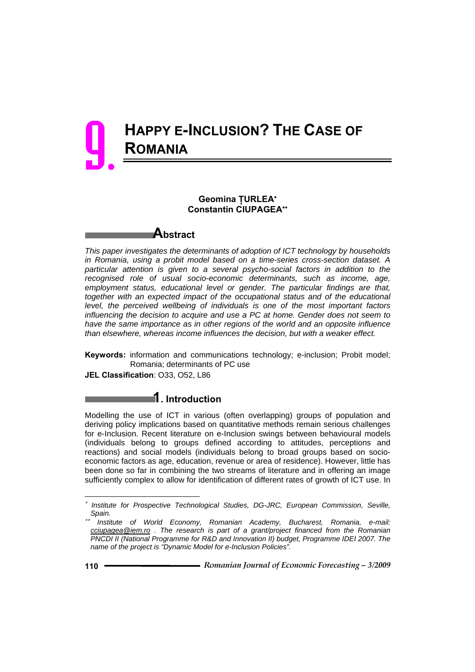# **HAPPY E-INCLUSION? THE CASE OF ROMANIA** 9.

### **Geomina ŢURLEA**<sup>∗</sup> **Constantin CIUPAGEA**∗∗

**Abstract** 

*This paper investigates the determinants of adoption of ICT technology by households in Romania, using a probit model based on a time-series cross-section dataset. A particular attention is given to a several psycho-social factors in addition to the recognised role of usual socio-economic determinants, such as income, age, employment status, educational level or gender. The particular findings are that,*  together with an expected impact of the occupational status and of the educational *level, the perceived wellbeing of individuals is one of the most important factors influencing the decision to acquire and use a PC at home. Gender does not seem to have the same importance as in other regions of the world and an opposite influence than elsewhere, whereas income influences the decision, but with a weaker effect.* 

**Keywords:** information and communications technology; e-inclusion; Probit model; Romania; determinants of PC use

**JEL Classification**: O33, O52, L86

## **1. Introduction**

Modelling the use of ICT in various (often overlapping) groups of population and deriving policy implications based on quantitative methods remain serious challenges for e-Inclusion. Recent literature on e-Inclusion swings between behavioural models (individuals belong to groups defined according to attitudes, perceptions and reactions) and social models (individuals belong to broad groups based on socioeconomic factors as age, education, revenue or area of residence). However, little has been done so far in combining the two streams of literature and in offering an image sufficiently complex to allow for identification of different rates of growth of ICT use. In

l

<sup>∗</sup> *Institute for Prospective Technological Studies, DG-JRC, European Commission, Seville, Spain.* 

<sup>∗∗</sup> *Institute of World Economy, Romanian Academy, Bucharest, Romania, e-mail: cciupagea@iem.ro . The research is part of a grant/project financed from the Romanian PNCDI II (National Programme for R&D and Innovation II) budget, Programme IDEI 2007. The name of the project is "Dynamic Model for e-Inclusion Policies".*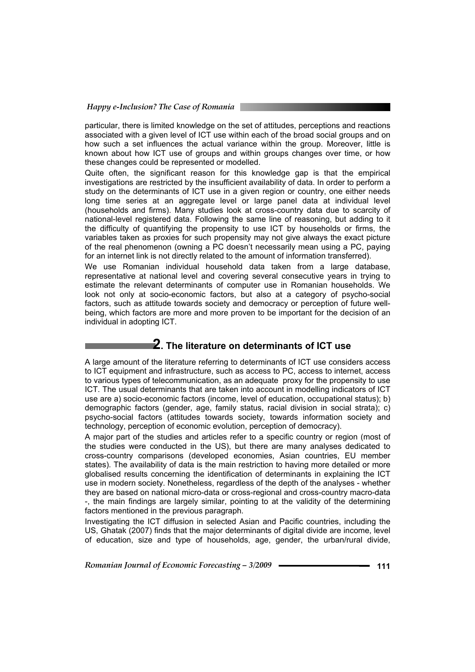particular, there is limited knowledge on the set of attitudes, perceptions and reactions associated with a given level of ICT use within each of the broad social groups and on how such a set influences the actual variance within the group. Moreover, little is known about how ICT use of groups and within groups changes over time, or how these changes could be represented or modelled.

Quite often, the significant reason for this knowledge gap is that the empirical investigations are restricted by the insufficient availability of data. In order to perform a study on the determinants of ICT use in a given region or country, one either needs long time series at an aggregate level or large panel data at individual level (households and firms). Many studies look at cross-country data due to scarcity of national-level registered data. Following the same line of reasoning, but adding to it the difficulty of quantifying the propensity to use ICT by households or firms, the variables taken as proxies for such propensity may not give always the exact picture of the real phenomenon (owning a PC doesn't necessarily mean using a PC, paying for an internet link is not directly related to the amount of information transferred).

We use Romanian individual household data taken from a large database, representative at national level and covering several consecutive years in trying to estimate the relevant determinants of computer use in Romanian households. We look not only at socio-economic factors, but also at a category of psycho-social factors, such as attitude towards society and democracy or perception of future wellbeing, which factors are more and more proven to be important for the decision of an individual in adopting ICT.

## **2. The literature on determinants of ICT use**

A large amount of the literature referring to determinants of ICT use considers access to ICT equipment and infrastructure, such as access to PC, access to internet, access to various types of telecommunication, as an adequate proxy for the propensity to use ICT. The usual determinants that are taken into account in modelling indicators of ICT use are a) socio-economic factors (income, level of education, occupational status); b) demographic factors (gender, age, family status, racial division in social strata); c) psycho-social factors (attitudes towards society, towards information society and technology, perception of economic evolution, perception of democracy).

A major part of the studies and articles refer to a specific country or region (most of the studies were conducted in the US), but there are many analyses dedicated to cross-country comparisons (developed economies, Asian countries, EU member states). The availability of data is the main restriction to having more detailed or more globalised results concerning the identification of determinants in explaining the ICT use in modern society. Nonetheless, regardless of the depth of the analyses - whether they are based on national micro-data or cross-regional and cross-country macro-data -, the main findings are largely similar, pointing to at the validity of the determining factors mentioned in the previous paragraph.

Investigating the ICT diffusion in selected Asian and Pacific countries, including the US, Ghatak (2007) finds that the major determinants of digital divide are income, level of education, size and type of households, age, gender, the urban/rural divide,

*Romanian Journal of Economic Forecasting – 3/2009* **- • • • • • • • • • • • 111**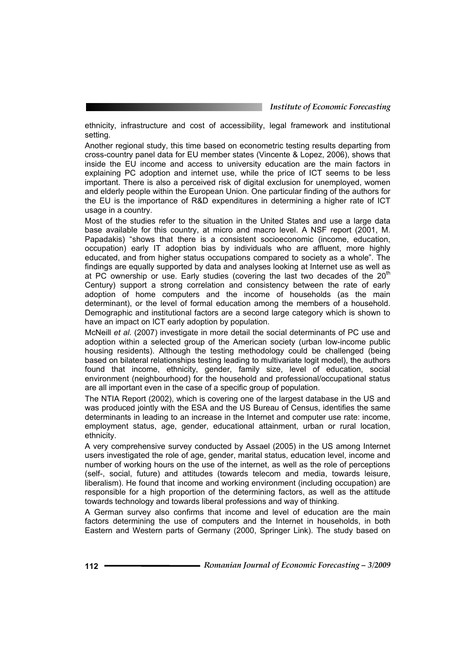ethnicity, infrastructure and cost of accessibility, legal framework and institutional setting.

Another regional study, this time based on econometric testing results departing from cross-country panel data for EU member states (Vincente & Lopez, 2006), shows that inside the EU income and access to university education are the main factors in explaining PC adoption and internet use, while the price of ICT seems to be less important. There is also a perceived risk of digital exclusion for unemployed, women and elderly people within the European Union. One particular finding of the authors for the EU is the importance of R&D expenditures in determining a higher rate of ICT usage in a country.

Most of the studies refer to the situation in the United States and use a large data base available for this country, at micro and macro level. A NSF report (2001, M. Papadakis) "shows that there is a consistent socioeconomic (income, education, occupation) early IT adoption bias by individuals who are affluent, more highly educated, and from higher status occupations compared to society as a whole". The findings are equally supported by data and analyses looking at Internet use as well as at PC ownership or use. Early studies (covering the last two decades of the  $20<sup>th</sup>$ Century) support a strong correlation and consistency between the rate of early adoption of home computers and the income of households (as the main determinant), or the level of formal education among the members of a household. Demographic and institutional factors are a second large category which is shown to have an impact on ICT early adoption by population.

McNeill *et al*. (2007) investigate in more detail the social determinants of PC use and adoption within a selected group of the American society (urban low-income public housing residents). Although the testing methodology could be challenged (being based on bilateral relationships testing leading to multivariate logit model), the authors found that income, ethnicity, gender, family size, level of education, social environment (neighbourhood) for the household and professional/occupational status are all important even in the case of a specific group of population.

The NTIA Report (2002), which is covering one of the largest database in the US and was produced jointly with the ESA and the US Bureau of Census, identifies the same determinants in leading to an increase in the Internet and computer use rate: income, employment status, age, gender, educational attainment, urban or rural location, ethnicity.

A very comprehensive survey conducted by Assael (2005) in the US among Internet users investigated the role of age, gender, marital status, education level, income and number of working hours on the use of the internet, as well as the role of perceptions (self-, social, future) and attitudes (towards telecom and media, towards leisure, liberalism). He found that income and working environment (including occupation) are responsible for a high proportion of the determining factors, as well as the attitude towards technology and towards liberal professions and way of thinking.

A German survey also confirms that income and level of education are the main factors determining the use of computers and the Internet in households, in both Eastern and Western parts of Germany (2000, Springer Link). The study based on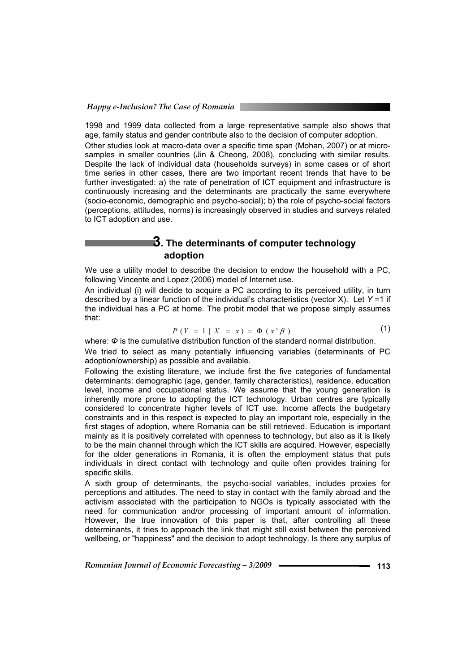1998 and 1999 data collected from a large representative sample also shows that age, family status and gender contribute also to the decision of computer adoption.

Other studies look at macro-data over a specific time span (Mohan, 2007) or at microsamples in smaller countries (Jin & Cheong, 2008), concluding with similar results. Despite the lack of individual data (households surveys) in some cases or of short time series in other cases, there are two important recent trends that have to be further investigated: a) the rate of penetration of ICT equipment and infrastructure is continuously increasing and the determinants are practically the same everywhere (socio-economic, demographic and psycho-social); b) the role of psycho-social factors (perceptions, attitudes, norms) is increasingly observed in studies and surveys related to ICT adoption and use.

## **3. The determinants of computer technology adoption**

We use a utility model to describe the decision to endow the household with a PC, following Vincente and Lopez (2006) model of Internet use.

An individual (i) will decide to acquire a PC according to its perceived utility, in turn described by a linear function of the individual's characteristics (vector X). Let *Y* =1 if the individual has a PC at home. The probit model that we propose simply assumes that:

$$
P(Y = 1 | X = x) = \Phi(x' \beta)
$$
 (1)

where: *Φ* is the cumulative distribution function of the standard normal distribution.

We tried to select as many potentially influencing variables (determinants of PC adoption/ownership) as possible and available.

Following the existing literature, we include first the five categories of fundamental determinants: demographic (age, gender, family characteristics), residence, education level, income and occupational status. We assume that the young generation is inherently more prone to adopting the ICT technology. Urban centres are typically considered to concentrate higher levels of ICT use. Income affects the budgetary constraints and in this respect is expected to play an important role, especially in the first stages of adoption, where Romania can be still retrieved. Education is important mainly as it is positively correlated with openness to technology, but also as it is likely to be the main channel through which the ICT skills are acquired. However, especially for the older generations in Romania, it is often the employment status that puts individuals in direct contact with technology and quite often provides training for specific skills.

A sixth group of determinants, the psycho-social variables, includes proxies for perceptions and attitudes. The need to stay in contact with the family abroad and the activism associated with the participation to NGOs is typically associated with the need for communication and/or processing of important amount of information. However, the true innovation of this paper is that, after controlling all these determinants, it tries to approach the link that might still exist between the perceived wellbeing, or "happiness" and the decision to adopt technology. Is there any surplus of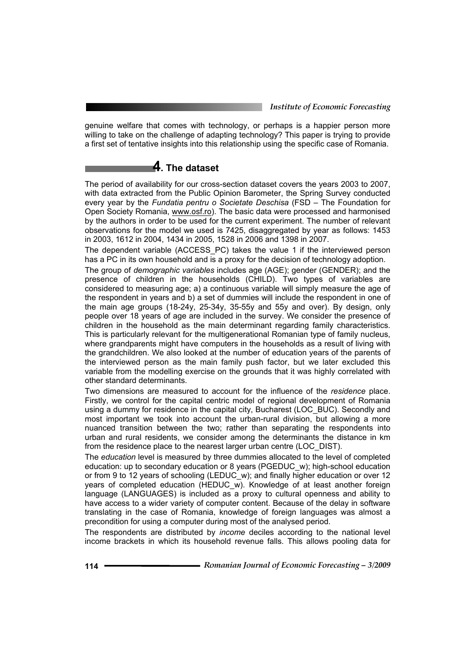genuine welfare that comes with technology, or perhaps is a happier person more willing to take on the challenge of adapting technology? This paper is trying to provide a first set of tentative insights into this relationship using the specific case of Romania.

# **4. The dataset**

The period of availability for our cross-section dataset covers the years 2003 to 2007, with data extracted from the Public Opinion Barometer, the Spring Survey conducted every year by the *Fundatia pentru o Societate Deschisa* (FSD – The Foundation for Open Society Romania, www.osf.ro). The basic data were processed and harmonised by the authors in order to be used for the current experiment. The number of relevant observations for the model we used is 7425, disaggregated by year as follows: 1453 in 2003, 1612 in 2004, 1434 in 2005, 1528 in 2006 and 1398 in 2007.

The dependent variable (ACCESS\_PC) takes the value 1 if the interviewed person has a PC in its own household and is a proxy for the decision of technology adoption.

The group of *demographic variables* includes age (AGE); gender (GENDER); and the presence of children in the households (CHILD). Two types of variables are considered to measuring age; a) a continuous variable will simply measure the age of the respondent in years and b) a set of dummies will include the respondent in one of the main age groups (18-24y, 25-34y, 35-55y and 55y and over). By design, only people over 18 years of age are included in the survey. We consider the presence of children in the household as the main determinant regarding family characteristics. This is particularly relevant for the multigenerational Romanian type of family nucleus, where grandparents might have computers in the households as a result of living with the grandchildren. We also looked at the number of education years of the parents of the interviewed person as the main family push factor, but we later excluded this variable from the modelling exercise on the grounds that it was highly correlated with other standard determinants.

Two dimensions are measured to account for the influence of the *residence* place. Firstly, we control for the capital centric model of regional development of Romania using a dummy for residence in the capital city, Bucharest (LOC\_BUC). Secondly and most important we took into account the urban-rural division, but allowing a more nuanced transition between the two; rather than separating the respondents into urban and rural residents, we consider among the determinants the distance in km from the residence place to the nearest larger urban centre (LOC\_DIST).

The *education* level is measured by three dummies allocated to the level of completed education: up to secondary education or 8 years (PGEDUC\_w); high-school education or from 9 to 12 years of schooling (LEDUC\_w); and finally higher education or over 12 years of completed education (HEDUC w). Knowledge of at least another foreign language (LANGUAGES) is included as a proxy to cultural openness and ability to have access to a wider variety of computer content. Because of the delay in software translating in the case of Romania, knowledge of foreign languages was almost a precondition for using a computer during most of the analysed period.

The respondents are distributed by *income* deciles according to the national level income brackets in which its household revenue falls. This allows pooling data for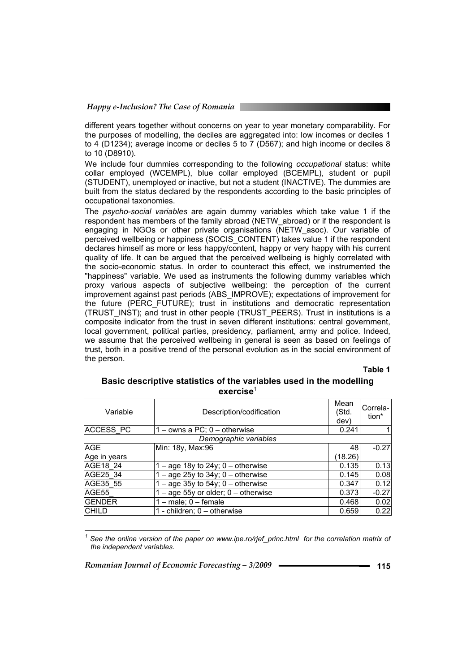different years together without concerns on year to year monetary comparability. For the purposes of modelling, the deciles are aggregated into: low incomes or deciles 1 to 4 (D1234); average income or deciles 5 to 7 (D567); and high income or deciles 8 to 10 (D8910).

We include four dummies corresponding to the following *occupational* status: white collar employed (WCEMPL), blue collar employed (BCEMPL), student or pupil (STUDENT), unemployed or inactive, but not a student (INACTIVE). The dummies are built from the status declared by the respondents according to the basic principles of occupational taxonomies.

The *psycho-social variables* are again dummy variables which take value 1 if the respondent has members of the family abroad (NETW\_abroad) or if the respondent is engaging in NGOs or other private organisations (NETW\_asoc). Our variable of perceived wellbeing or happiness (SOCIS\_CONTENT) takes value 1 if the respondent declares himself as more or less happy/content, happy or very happy with his current quality of life. It can be argued that the perceived wellbeing is highly correlated with the socio-economic status. In order to counteract this effect, we instrumented the "happiness" variable. We used as instruments the following dummy variables which proxy various aspects of subjective wellbeing: the perception of the current improvement against past periods (ABS\_IMPROVE); expectations of improvement for the future (PERC\_FUTURE); trust in institutions and democratic representation (TRUST\_INST); and trust in other people (TRUST\_PEERS). Trust in institutions is a composite indicator from the trust in seven different institutions: central government, local government, political parties, presidency, parliament, army and police. Indeed, we assume that the perceived wellbeing in general is seen as based on feelings of trust, both in a positive trend of the personal evolution as in the social environment of the person.

**Table 1** 

#### **Basic descriptive statistics of the variables used in the modelling exercise**<sup>1</sup>

| Variable         | Description/codification              | Mean<br>(Std.<br>dev) | Correla-<br>tion* |
|------------------|---------------------------------------|-----------------------|-------------------|
| <b>ACCESS PC</b> | 1 – owns a PC; 0 – otherwise          | 0.241                 |                   |
|                  | Demographic variables                 |                       |                   |
| <b>AGE</b>       | Min: 18y, Max:96                      | 48                    | $-0.27$           |
| Age in years     |                                       | (18.26)               |                   |
| AGE18 24         | $-$ age 18y to 24y; 0 – otherwise     | 0.135                 | 0.13              |
| AGE25 34         | $-$ age 25y to 34y; 0 – otherwise     | 0.145                 | 0.08              |
| AGE35 55         | $-$ age 35y to 54y; 0 – otherwise     | 0.347                 | 0.12              |
| AGE55            | $-$ age 55y or older; 0 $-$ otherwise | 0.373                 | $-0.27$           |
| <b>GENDER</b>    | 1 – male; 0 – female                  | 0.468                 | 0.02              |
| <b>CHILD</b>     | 1 - children; 0 - otherwise           | 0.659                 | 0.22              |

l *1 See the online version of the paper on www.ipe.ro/rjef\_princ.html for the correlation matrix of the independent variables.*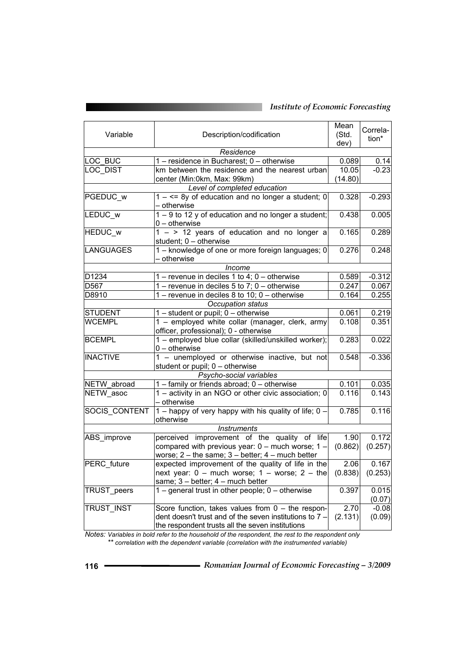| Variable                | Description/codification                                                                      |                    | Correla-<br>tion* |  |  |  |
|-------------------------|-----------------------------------------------------------------------------------------------|--------------------|-------------------|--|--|--|
| dev)<br>Residence       |                                                                                               |                    |                   |  |  |  |
| LOC BUC                 | 1 - residence in Bucharest; 0 - otherwise                                                     | 0.089              | 0.14              |  |  |  |
| <b>LOC DIST</b>         | km between the residence and the nearest urban                                                | 10.05              | $-0.23$           |  |  |  |
|                         | center (Min:0km, Max: 99km)                                                                   | (14.80)            |                   |  |  |  |
|                         | Level of completed education                                                                  |                    |                   |  |  |  |
| PGEDUC w                | $1 - \leq 8y$ of education and no longer a student; 0                                         | 0.328              | $-0.293$          |  |  |  |
|                         | - otherwise                                                                                   |                    |                   |  |  |  |
| LEDUC w                 | $1 - 9$ to 12 y of education and no longer a student;                                         | 0.438              | 0.005             |  |  |  |
|                         | $0$ – otherwise                                                                               |                    |                   |  |  |  |
| <b>HEDUC w</b>          | $1 -$ > 12 years of education and no longer a                                                 | 0.165              | 0.289             |  |  |  |
|                         | student; 0 - otherwise                                                                        |                    |                   |  |  |  |
| <b>LANGUAGES</b>        | 1 - knowledge of one or more foreign languages; 0                                             | 0.276              | 0.248             |  |  |  |
|                         | – otherwise                                                                                   |                    |                   |  |  |  |
|                         | Income                                                                                        |                    |                   |  |  |  |
| D1234                   | $1 -$ revenue in deciles 1 to 4; $0 -$ otherwise                                              | 0.589              | $-0.312$          |  |  |  |
| D <sub>567</sub>        | 1 – revenue in deciles 5 to 7; $0$ – otherwise                                                | 0.247              | 0.067             |  |  |  |
| D8910                   | 1 – revenue in deciles 8 to 10; $0$ – otherwise                                               | 0.164              | 0.255             |  |  |  |
|                         | Occupation status                                                                             |                    |                   |  |  |  |
| <b>STUDENT</b>          | $1$ – student or pupil; $0$ – otherwise                                                       | 0.061              | 0.219             |  |  |  |
| <b>WCEMPL</b>           | 1 - employed white collar (manager, clerk, army                                               | 0.108              | 0.351             |  |  |  |
| <b>BCEMPL</b>           | officer, professional); 0 - otherwise<br>1 - employed blue collar (skilled/unskilled worker); | 0.283              | 0.022             |  |  |  |
|                         | $0$ – otherwise                                                                               |                    |                   |  |  |  |
| <b>INACTIVE</b>         | 1 - unemployed or otherwise inactive, but not                                                 | 0.548              | $-0.336$          |  |  |  |
|                         | student or pupil; 0 - otherwise                                                               |                    |                   |  |  |  |
| Psycho-social variables |                                                                                               |                    |                   |  |  |  |
| NETW abroad             | 1 - family or friends abroad; 0 - otherwise                                                   | 0.101              | 0.035             |  |  |  |
| NETW asoc               | 1 - activity in an NGO or other civic association; 0                                          | 0.116              | 0.143             |  |  |  |
|                         | - otherwise                                                                                   |                    |                   |  |  |  |
| <b>SOCIS CONTENT</b>    | 1 – happy of very happy with his quality of life; $0 -$                                       | 0.785              | 0.116             |  |  |  |
|                         | otherwise                                                                                     |                    |                   |  |  |  |
|                         | <i><b>Instruments</b></i>                                                                     |                    |                   |  |  |  |
| ABS improve             | perceived improvement of the quality of life                                                  | $\overline{1}$ .90 | 0.172             |  |  |  |
|                         | compared with previous year: $0 -$ much worse; $1 -$                                          | (0.862)            | (0.257)           |  |  |  |
|                         | worse; $2$ – the same; $3$ – better; $4$ – much better                                        |                    |                   |  |  |  |
| <b>PERC</b> future      | expected improvement of the quality of life in the                                            | 2.06               | 0.167             |  |  |  |
|                         | next year: $0 -$ much worse; $1 -$ worse; $2 -$ the                                           | (0.838)            | (0.253)           |  |  |  |
|                         | same; 3 - better; 4 - much better                                                             |                    |                   |  |  |  |
| TRUST_peers             | 1 - general trust in other people; 0 - otherwise                                              | 0.397              | 0.015             |  |  |  |
|                         |                                                                                               |                    | (0.07)            |  |  |  |
| <b>TRUST INST</b>       | Score function, takes values from $0 -$ the respon-                                           | 2.70               | $-0.08$           |  |  |  |
|                         | dent doesn't trust and of the seven institutions to 7 -                                       | (2.131)            | (0.09)            |  |  |  |
|                         | the respondent trusts all the seven institutions                                              |                    |                   |  |  |  |

*Notes: Variables in bold refer to the household of the respondent, the rest to the respondent only \*\* correlation with the dependent variable (correlation with the instrumented variable)*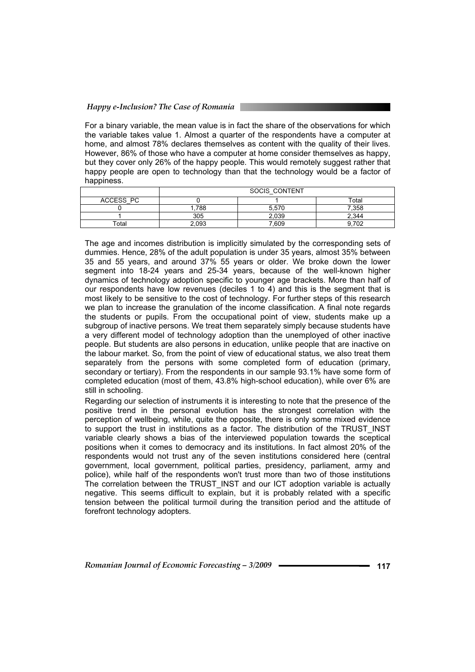#### *Happy e-Inclusion? The Case of Romania*

For a binary variable, the mean value is in fact the share of the observations for which the variable takes value 1. Almost a quarter of the respondents have a computer at home, and almost 78% declares themselves as content with the quality of their lives. However, 86% of those who have a computer at home consider themselves as happy, but they cover only 26% of the happy people. This would remotely suggest rather that happy people are open to technology than that the technology would be a factor of happiness.

|           | SOCIS CONTENT |       |       |  |  |
|-----------|---------------|-------|-------|--|--|
| ACCESS PC |               |       | Total |  |  |
|           | .788          | 5,570 | 7,358 |  |  |
|           | 305           | 2,039 | 2.344 |  |  |
| ™otal     | 2,093         | 7,609 | 9.702 |  |  |

The age and incomes distribution is implicitly simulated by the corresponding sets of dummies. Hence, 28% of the adult population is under 35 years, almost 35% between 35 and 55 years, and around 37% 55 years or older. We broke down the lower segment into 18-24 years and 25-34 years, because of the well-known higher dynamics of technology adoption specific to younger age brackets. More than half of our respondents have low revenues (deciles 1 to 4) and this is the segment that is most likely to be sensitive to the cost of technology. For further steps of this research we plan to increase the granulation of the income classification. A final note regards the students or pupils. From the occupational point of view, students make up a subgroup of inactive persons. We treat them separately simply because students have a very different model of technology adoption than the unemployed of other inactive people. But students are also persons in education, unlike people that are inactive on the labour market. So, from the point of view of educational status, we also treat them separately from the persons with some completed form of education (primary, secondary or tertiary). From the respondents in our sample 93.1% have some form of completed education (most of them, 43.8% high-school education), while over 6% are still in schooling.

Regarding our selection of instruments it is interesting to note that the presence of the positive trend in the personal evolution has the strongest correlation with the perception of wellbeing, while, quite the opposite, there is only some mixed evidence to support the trust in institutions as a factor. The distribution of the TRUST\_INST variable clearly shows a bias of the interviewed population towards the sceptical positions when it comes to democracy and its institutions. In fact almost 20% of the respondents would not trust any of the seven institutions considered here (central government, local government, political parties, presidency, parliament, army and police), while half of the respondents won't trust more than two of those institutions The correlation between the TRUST\_INST and our ICT adoption variable is actually negative. This seems difficult to explain, but it is probably related with a specific tension between the political turmoil during the transition period and the attitude of forefront technology adopters.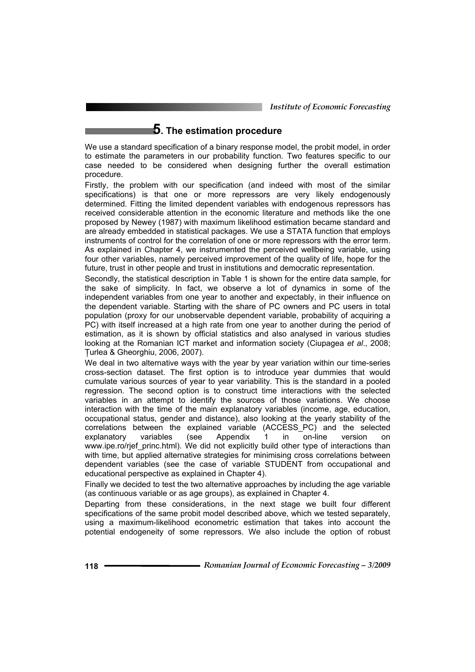## **5. The estimation procedure**

We use a standard specification of a binary response model, the probit model, in order to estimate the parameters in our probability function. Two features specific to our case needed to be considered when designing further the overall estimation procedure.

Firstly, the problem with our specification (and indeed with most of the similar specifications) is that one or more repressors are very likely endogenously determined. Fitting the limited dependent variables with endogenous repressors has received considerable attention in the economic literature and methods like the one proposed by Newey (1987) with maximum likelihood estimation became standard and are already embedded in statistical packages. We use a STATA function that employs instruments of control for the correlation of one or more repressors with the error term. As explained in Chapter 4, we instrumented the perceived wellbeing variable, using four other variables, namely perceived improvement of the quality of life, hope for the future, trust in other people and trust in institutions and democratic representation.

Secondly, the statistical description in Table 1 is shown for the entire data sample, for the sake of simplicity. In fact, we observe a lot of dynamics in some of the independent variables from one year to another and expectably, in their influence on the dependent variable. Starting with the share of PC owners and PC users in total population (proxy for our unobservable dependent variable, probability of acquiring a PC) with itself increased at a high rate from one year to another during the period of estimation, as it is shown by official statistics and also analysed in various studies looking at the Romanian ICT market and information society (Ciupagea *et al*., 2008; Ţurlea & Gheorghiu, 2006, 2007).

We deal in two alternative ways with the year by year variation within our time-series cross-section dataset. The first option is to introduce year dummies that would cumulate various sources of year to year variability. This is the standard in a pooled regression. The second option is to construct time interactions with the selected variables in an attempt to identify the sources of those variations. We choose interaction with the time of the main explanatory variables (income, age, education, occupational status, gender and distance), also looking at the yearly stability of the correlations between the explained variable (ACCESS\_PC) and the selected explanatory variables (see Appendix 1 in on-line version on www.ipe.ro/rjef\_princ.html). We did not explicitly build other type of interactions than with time, but applied alternative strategies for minimising cross correlations between dependent variables (see the case of variable STUDENT from occupational and educational perspective as explained in Chapter 4).

Finally we decided to test the two alternative approaches by including the age variable (as continuous variable or as age groups), as explained in Chapter 4.

Departing from these considerations, in the next stage we built four different specifications of the same probit model described above, which we tested separately, using a maximum-likelihood econometric estimation that takes into account the potential endogeneity of some repressors. We also include the option of robust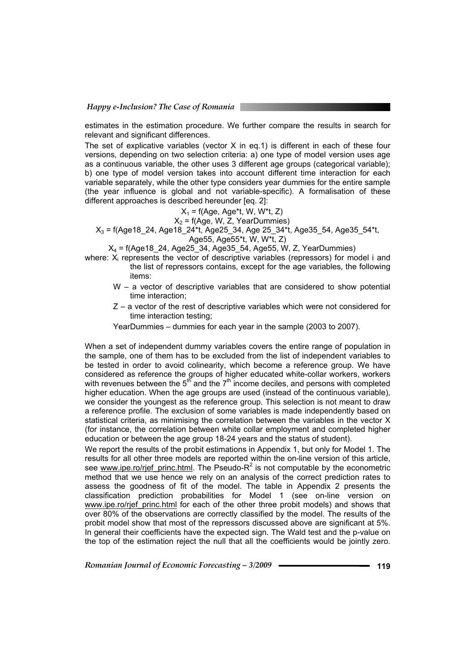estimates in the estimation procedure. We further compare the results in search for relevant and significant differences.

The set of explicative variables (vector X in eq.1) is different in each of these four versions, depending on two selection criteria: a) one type of model version uses age as a continuous variable, the other uses 3 different age groups (categorical variable); b) one type of model version takes into account different time interaction for each variable separately, while the other type considers year dummies for the entire sample (the year influence is global and not variable-specific). A formalisation of these different approaches is described hereunder [eq. 2]:

### $X_1$  = f(Age, Age\*t, W, W\*t, Z)

 $X_2$  = f(Age, W, Z, YearDummies)

 $X_3$  = f(Age18\_24, Age18\_24\*t, Age25\_34, Age 25\_34\*t, Age35\_54, Age35\_54\*t,

Age55, Age55\*t, W, W\*t, Z)

 $X_4$  = f(Age18\_24, Age25\_34, Age35\_54, Age55, W, Z, YearDummies)

- where:  $X_i$  represents the vector of descriptive variables (repressors) for model i and the list of repressors contains, except for the age variables, the following items:
	- W a vector of descriptive variables that are considered to show potential time interaction;
	- Z a vector of the rest of descriptive variables which were not considered for time interaction testing;
	- YearDummies dummies for each year in the sample (2003 to 2007).

When a set of independent dummy variables covers the entire range of population in the sample, one of them has to be excluded from the list of independent variables to be tested in order to avoid colinearity, which become a reference group. We have considered as reference the groups of higher educated white-collar workers, workers with revenues between the 5<sup>th</sup> and the  $7<sup>th</sup>$  income deciles, and persons with completed higher education. When the age groups are used (instead of the continuous variable), we consider the youngest as the reference group. This selection is not meant to draw a reference profile. The exclusion of some variables is made independently based on statistical criteria, as minimising the correlation between the variables in the vector X (for instance, the correlation between white collar employment and completed higher education or between the age group 18-24 years and the status of student).

We report the results of the probit estimations in Appendix 1, but only for Model 1. The results for all other three models are reported within the on-line version of this article, see www.ipe.ro/rjef\_princ.html. The Pseudo-R<sup>2</sup> is not computable by the econometric method that we use hence we rely on an analysis of the correct prediction rates to assess the goodness of fit of the model. The table in Appendix 2 presents the classification prediction probabilities for Model 1 (see on-line version on www.ipe.ro/rief\_princ.html for each of the other three probit models) and shows that over 80% of the observations are correctly classified by the model. The results of the probit model show that most of the repressors discussed above are significant at 5%. In general their coefficients have the expected sign. The Wald test and the p-value on the top of the estimation reject the null that all the coefficients would be jointly zero.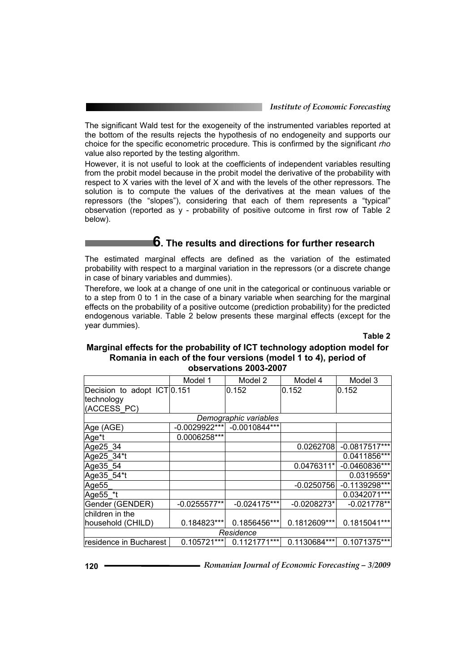The significant Wald test for the exogeneity of the instrumented variables reported at the bottom of the results rejects the hypothesis of no endogeneity and supports our choice for the specific econometric procedure. This is confirmed by the significant *rho* value also reported by the testing algorithm.

However, it is not useful to look at the coefficients of independent variables resulting from the probit model because in the probit model the derivative of the probability with respect to X varies with the level of X and with the levels of the other repressors. The solution is to compute the values of the derivatives at the mean values of the repressors (the "slopes"), considering that each of them represents a "typical" observation (reported as y - probability of positive outcome in first row of Table 2 below).

# **6. The results and directions for further research**

The estimated marginal effects are defined as the variation of the estimated probability with respect to a marginal variation in the repressors (or a discrete change in case of binary variables and dummies).

Therefore, we look at a change of one unit in the categorical or continuous variable or to a step from 0 to 1 in the case of a binary variable when searching for the marginal effects on the probability of a positive outcome (prediction probability) for the predicted endogenous variable. Table 2 below presents these marginal effects (except for the year dummies).

**Table 2** 

#### **Marginal effects for the probability of ICT technology adoption model for Romania in each of the four versions (model 1 to 4), period of observations 2003-2007**

|                             | Model 1         | Model 2               | Model 4       | Model 3         |  |  |
|-----------------------------|-----------------|-----------------------|---------------|-----------------|--|--|
| Decision to adopt ICT 0.151 |                 | 0.152                 | 0.152         | 0.152           |  |  |
| technology                  |                 |                       |               |                 |  |  |
| (ACCESS PC)                 |                 |                       |               |                 |  |  |
|                             |                 | Demographic variables |               |                 |  |  |
| Age (AGE)                   | $-0.0029922***$ | $-0.0010844***$       |               |                 |  |  |
| Age*t                       | 0.0006258***    |                       |               |                 |  |  |
| Age25 34                    |                 |                       | 0.0262708     | $-0.0817517***$ |  |  |
| Age25 34*t                  |                 |                       |               | 0.0411856***    |  |  |
| Age 35_54                   |                 |                       | 0.0476311*    | $-0.0460836***$ |  |  |
| Age35_54*t                  |                 |                       |               | 0.0319559*      |  |  |
| Age <sub>55</sub>           |                 |                       | $-0.0250756$  | $-0.1139298***$ |  |  |
| Age55 *t                    |                 |                       |               | 0.0342071***    |  |  |
| Gender (GENDER)             | $-0.0255577**$  | $-0.024175***$        | $-0.0208273*$ | $-0.021778**$   |  |  |
| children in the             |                 |                       |               |                 |  |  |
| household (CHILD)           | 0.184823***     | 0.1856456***          | 0.1812609***  | 0.1815041***    |  |  |
| Residence                   |                 |                       |               |                 |  |  |
| residence in Bucharest      | 0.105721***     | 0.1121771***          | 0.1130684***  | 0.1071375***    |  |  |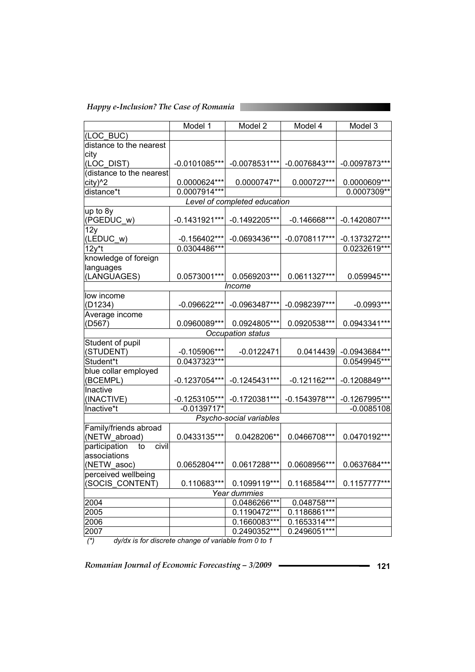*Happy e-Inclusion? The Case of Romania* 

|                              | Model 1         | Model 2                  | Model 4         | Model 3         |  |  |  |
|------------------------------|-----------------|--------------------------|-----------------|-----------------|--|--|--|
| (LOC BUC)                    |                 |                          |                 |                 |  |  |  |
| distance to the nearest      |                 |                          |                 |                 |  |  |  |
| city                         |                 |                          |                 |                 |  |  |  |
| (LOC_DIST)                   | $-0.0101085***$ | $-0.0078531***$          | $-0.0076843***$ | $-0.0097873***$ |  |  |  |
| (distance to the nearest     |                 |                          |                 |                 |  |  |  |
| city) <sup>^2</sup>          | 0.0000624***    | 0.0000747**              | 0.000727***     | 0.0000609***    |  |  |  |
| distance*t                   | 0.0007914***    |                          |                 | 0.0007309**     |  |  |  |
| Level of completed education |                 |                          |                 |                 |  |  |  |
| up to 8y                     |                 |                          |                 |                 |  |  |  |
| (PGEDUC_w)                   | $-0.1431921***$ | $-0.1492205***$          | $-0.146668***$  | $-0.1420807***$ |  |  |  |
| 12y                          |                 |                          |                 |                 |  |  |  |
| (LEDUC_w)                    | $-0.156402***$  | $-0.0693436***$          | $-0.0708117***$ | $-0.1373272***$ |  |  |  |
| $12y*$ t                     | 0.0304486***    |                          |                 | 0.0232619***    |  |  |  |
| knowledge of foreign         |                 |                          |                 |                 |  |  |  |
| languages                    |                 |                          |                 |                 |  |  |  |
| (LANGUAGES)                  | 0.0573001***    | 0.0569203***             | 0.0611327***    | 0.059945***     |  |  |  |
|                              |                 | Income                   |                 |                 |  |  |  |
| low income                   |                 |                          |                 |                 |  |  |  |
| (D1234)                      | $-0.096622***$  | -0.0963487***            | -0.0982397***   | $-0.0993***$    |  |  |  |
| Average income               |                 |                          |                 |                 |  |  |  |
| (D567)                       | 0.0960089***    | 0.0924805***             | 0.0920538***    | 0.0943341***    |  |  |  |
|                              |                 | <b>Occupation status</b> |                 |                 |  |  |  |
| Student of pupil             |                 |                          |                 |                 |  |  |  |
| (STUDENT)                    | $-0.105906***$  | $-0.0122471$             | 0.0414439       | -0.0943684***   |  |  |  |
| Student*t                    | 0.0437323***    |                          |                 | 0.0549945***    |  |  |  |
| blue collar employed         |                 |                          |                 |                 |  |  |  |
| (BCEMPL)                     | $-0.1237054***$ | $-0.1245431***$          | $-0.121162***$  | -0.1208849***   |  |  |  |
| Inactive                     |                 |                          |                 |                 |  |  |  |
| (INACTIVE)                   | $-0.1253105***$ | $-0.1720381***$          | $-0.1543978***$ | -0.1267995***   |  |  |  |
| Inactive*t                   | $-0.0139717*$   |                          |                 | $-0.0085108$    |  |  |  |
|                              |                 | Psycho-social variables  |                 |                 |  |  |  |
| Family/friends abroad        |                 |                          |                 |                 |  |  |  |
| (NETW abroad)                | 0.0433135***    | 0.0428206**              | 0.0466708***    | 0.0470192***    |  |  |  |
| civil<br>participation<br>to |                 |                          |                 |                 |  |  |  |
| associations                 |                 |                          |                 |                 |  |  |  |
| (NETW_asoc)                  | 0.0652804***    | 0.0617288***             | 0.0608956***    | 0.0637684***    |  |  |  |
| perceived wellbeing          |                 |                          |                 |                 |  |  |  |
| (SOCIS_CONTENT)              | 0.110683***     | 0.1099119 ***            | 0.1168584***    | 0.1157777***    |  |  |  |
|                              |                 | Year dummies             |                 |                 |  |  |  |
| 2004                         |                 | 0.0486266***             | 0.048758***     |                 |  |  |  |
| 2005                         |                 | 0.1190472***             | 0.1186861***    |                 |  |  |  |
| 2006                         |                 | 0.1660083***             | 0.1653314***    |                 |  |  |  |
| 2007                         |                 | 0.2490352***             | $0.2496051***$  |                 |  |  |  |

 *(\*) dy/dx is for discrete change of variable from 0 to 1*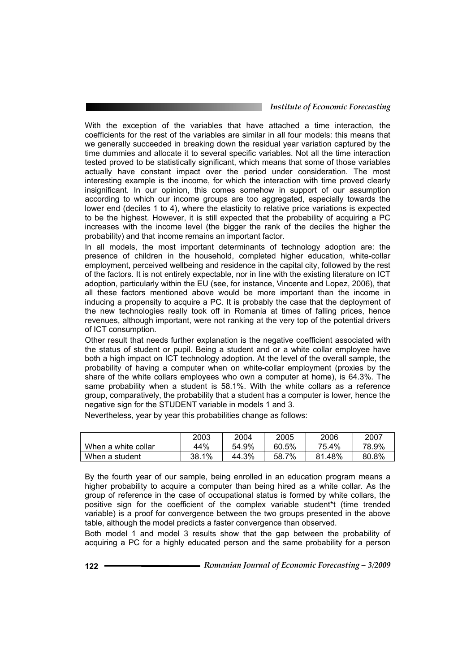With the exception of the variables that have attached a time interaction, the coefficients for the rest of the variables are similar in all four models: this means that we generally succeeded in breaking down the residual year variation captured by the time dummies and allocate it to several specific variables. Not all the time interaction tested proved to be statistically significant, which means that some of those variables actually have constant impact over the period under consideration. The most interesting example is the income, for which the interaction with time proved clearly insignificant. In our opinion, this comes somehow in support of our assumption according to which our income groups are too aggregated, especially towards the lower end (deciles 1 to 4), where the elasticity to relative price variations is expected to be the highest. However, it is still expected that the probability of acquiring a PC increases with the income level (the bigger the rank of the deciles the higher the probability) and that income remains an important factor.

In all models, the most important determinants of technology adoption are: the presence of children in the household, completed higher education, white-collar employment, perceived wellbeing and residence in the capital city, followed by the rest of the factors. It is not entirely expectable, nor in line with the existing literature on ICT adoption, particularly within the EU (see, for instance, Vincente and Lopez, 2006), that all these factors mentioned above would be more important than the income in inducing a propensity to acquire a PC. It is probably the case that the deployment of the new technologies really took off in Romania at times of falling prices, hence revenues, although important, were not ranking at the very top of the potential drivers of ICT consumption.

Other result that needs further explanation is the negative coefficient associated with the status of student or pupil. Being a student and or a white collar employee have both a high impact on ICT technology adoption. At the level of the overall sample, the probability of having a computer when on white-collar employment (proxies by the share of the white collars employees who own a computer at home), is 64.3%. The same probability when a student is 58.1%. With the white collars as a reference group, comparatively, the probability that a student has a computer is lower, hence the negative sign for the STUDENT variable in models 1 and 3.

Nevertheless, year by year this probabilities change as follows:

|                     | 2003         | 2004  | 2005       | 2006   | 2007  |
|---------------------|--------------|-------|------------|--------|-------|
| When a white collar | 44%          | 54.9% | 60.5%      | 75.4%  | 78.9% |
| When a student      | $1\%$<br>38. | 44.3% | 7%<br>58.7 | 81.48% | 80.8% |

By the fourth year of our sample, being enrolled in an education program means a higher probability to acquire a computer than being hired as a white collar. As the group of reference in the case of occupational status is formed by white collars, the positive sign for the coefficient of the complex variable student\*t (time trended variable) is a proof for convergence between the two groups presented in the above table, although the model predicts a faster convergence than observed.

Both model 1 and model 3 results show that the gap between the probability of acquiring a PC for a highly educated person and the same probability for a person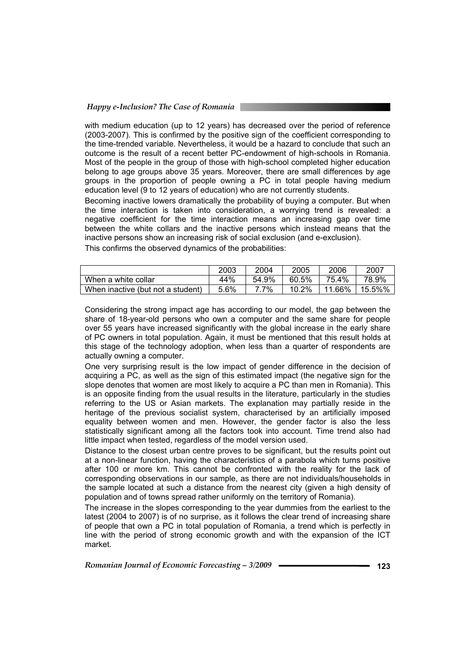#### *Happy e-Inclusion? The Case of Romania*

with medium education (up to 12 years) has decreased over the period of reference (2003-2007). This is confirmed by the positive sign of the coefficient corresponding to the time-trended variable. Nevertheless, it would be a hazard to conclude that such an outcome is the result of a recent better PC-endowment of high-schools in Romania. Most of the people in the group of those with high-school completed higher education belong to age groups above 35 years. Moreover, there are small differences by age groups in the proportion of people owning a PC in total people having medium education level (9 to 12 years of education) who are not currently students.

Becoming inactive lowers dramatically the probability of buying a computer. But when the time interaction is taken into consideration, a worrying trend is revealed: a negative coefficient for the time interaction means an increasing gap over time between the white collars and the inactive persons which instead means that the inactive persons show an increasing risk of social exclusion (and e-exclusion).

This confirms the observed dynamics of the probabilities:

|                                   | 2003 | 2004  | 2005  | 2006   | 2007   |
|-----------------------------------|------|-------|-------|--------|--------|
| When a white collar               | 44%  | 54.9% | 60.5% | 75.4%  | 78.9%  |
| When inactive (but not a student) | 5.6% | 7%    | 10.2% | 11.66% | 15.5%% |

Considering the strong impact age has according to our model, the gap between the share of 18-year-old persons who own a computer and the same share for people over 55 years have increased significantly with the global increase in the early share of PC owners in total population. Again, it must be mentioned that this result holds at this stage of the technology adoption, when less than a quarter of respondents are actually owning a computer.

One very surprising result is the low impact of gender difference in the decision of acquiring a PC, as well as the sign of this estimated impact (the negative sign for the slope denotes that women are most likely to acquire a PC than men in Romania). This is an opposite finding from the usual results in the literature, particularly in the studies referring to the US or Asian markets. The explanation may partially reside in the heritage of the previous socialist system, characterised by an artificially imposed equality between women and men. However, the gender factor is also the less statistically significant among all the factors took into account. Time trend also had little impact when tested, regardless of the model version used.

Distance to the closest urban centre proves to be significant, but the results point out at a non-linear function, having the characteristics of a parabola which turns positive after 100 or more km. This cannot be confronted with the reality for the lack of corresponding observations in our sample, as there are not individuals/households in the sample located at such a distance from the nearest city (given a high density of population and of towns spread rather uniformly on the territory of Romania).

The increase in the slopes corresponding to the year dummies from the earliest to the latest (2004 to 2007) is of no surprise, as it follows the clear trend of increasing share of people that own a PC in total population of Romania, a trend which is perfectly in line with the period of strong economic growth and with the expansion of the ICT market.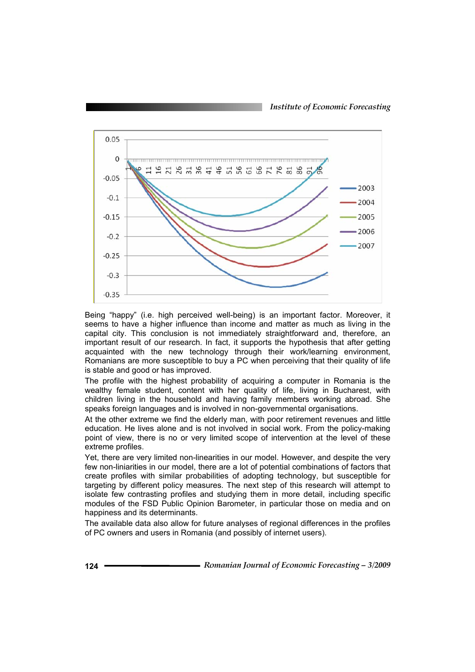*Institute of Economic Forecasting*



Being "happy" (i.e. high perceived well-being) is an important factor. Moreover, it seems to have a higher influence than income and matter as much as living in the capital city. This conclusion is not immediately straightforward and, therefore, an important result of our research. In fact, it supports the hypothesis that after getting acquainted with the new technology through their work/learning environment, Romanians are more susceptible to buy a PC when perceiving that their quality of life is stable and good or has improved.

The profile with the highest probability of acquiring a computer in Romania is the wealthy female student, content with her quality of life, living in Bucharest, with children living in the household and having family members working abroad. She speaks foreign languages and is involved in non-governmental organisations.

At the other extreme we find the elderly man, with poor retirement revenues and little education. He lives alone and is not involved in social work. From the policy-making point of view, there is no or very limited scope of intervention at the level of these extreme profiles.

Yet, there are very limited non-linearities in our model. However, and despite the very few non-liniarities in our model, there are a lot of potential combinations of factors that create profiles with similar probabilities of adopting technology, but susceptible for targeting by different policy measures. The next step of this research will attempt to isolate few contrasting profiles and studying them in more detail, including specific modules of the FSD Public Opinion Barometer, in particular those on media and on happiness and its determinants.

The available data also allow for future analyses of regional differences in the profiles of PC owners and users in Romania (and possibly of internet users).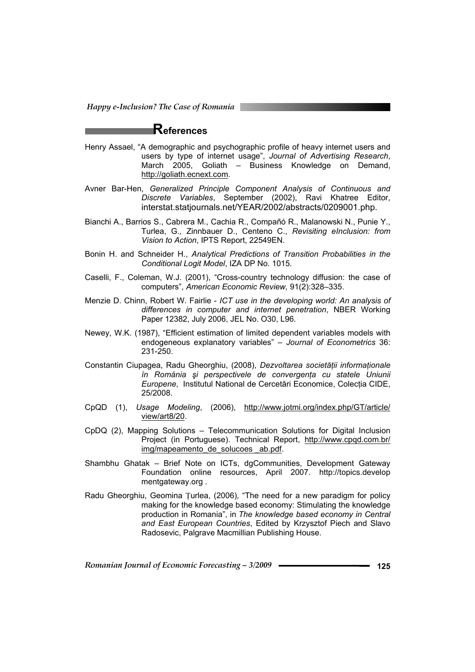*Happy e-Inclusion? The Case of Romania* 

## **References**

- Henry Assael, "A demographic and psychographic profile of heavy internet users and users by type of internet usage", *Journal of Advertising Research*, March 2005, Goliath – Business Knowledge on Demand, http://goliath.ecnext.com.
- Avner Bar-Hen, *Generalized Principle Component Analysis of Continuous and Discrete Variables*, September (2002), Ravi Khatree Editor, interstat.statjournals.net/YEAR/2002/abstracts/0209001.php.
- Bianchi A., Barrios S., Cabrera M., Cachia R., Compañó R., Malanowski N., Punie Y., Turlea, G., Zinnbauer D., Centeno C., *Revisiting eInclusion: from Vision to Action*, IPTS Report, 22549EN.
- Bonin H. and Schneider H., *Analytical Predictions of Transition Probabilities in the Conditional Logit Model*, IZA DP No. 1015.
- Caselli, F., Coleman, W.J. (2001), "Cross-country technology diffusion: the case of computers", *American Economic Review,* 91(2):328–335.
- Menzie D. Chinn, Robert W. Fairlie *ICT use in the developing world: An analysis of differences in computer and internet penetration*, NBER Working Paper 12382, July 2006, JEL No. O30, L96.
- Newey, W.K. (1987), "Efficient estimation of limited dependent variables models with endogeneous explanatory variables" *– Journal of Econometrics* 36: 231-250.
- Constantin Ciupagea, Radu Gheorghiu, (2008), *Dezvoltarea societăţii informaţionale în România şi perspectivele de convergenţa cu statele Uniunii Europene*, Institutul National de Cercetări Economice, Colecția CIDE, 25/2008.
- CpQD (1), *Usage Modeling*, (2006), http://www.jotmi.org/index.php/GT/article/ view/art8/20.
- CpDQ (2), Mapping Solutions Telecommunication Solutions for Digital Inclusion Project (in Portuguese). Technical Report, http://www.cpqd.com.br/ img/mapeamento\_de\_solucoes\_ab.pdf.
- Shambhu Ghatak Brief Note on ICTs, dgCommunities, Development Gateway Foundation online resources, April 2007. http://topics.develop mentgateway.org .
- Radu Gheorghiu, Geomina Ţurlea, (2006)*,* "The need for a new paradigm for policy making for the knowledge based economy: Stimulating the knowledge production in Romania", in *The knowledge based economy in Central and East European Countries*, Edited by Krzysztof Piech and Slavo Radosevic, Palgrave Macmillian Publishing House.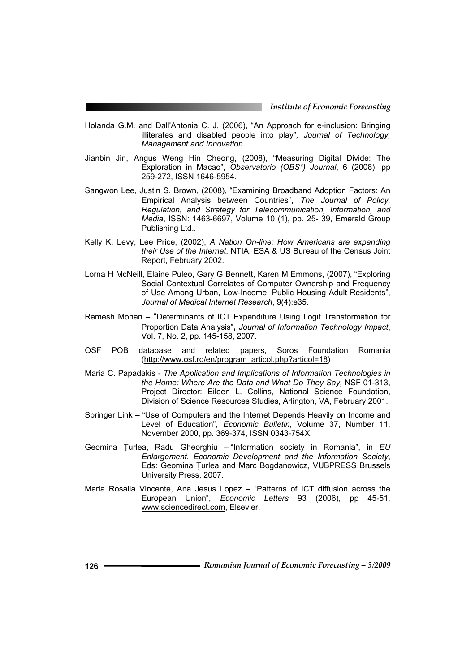- Holanda G.M. and Dall'Antonia C. J, (2006), "An Approach for e-inclusion: Bringing illiterates and disabled people into play"*, Journal of Technology, Management and Innovation*.
- Jianbin Jin, Angus Weng Hin Cheong, (2008), "Measuring Digital Divide: The Exploration in Macao", *Observatorio (OBS\*) Journal*, 6 (2008), pp 259-272, ISSN 1646-5954.
- Sangwon Lee, Justin S. Brown, (2008), "Examining Broadband Adoption Factors: An Empirical Analysis between Countries", *The Journal of Policy, Regulation, and Strategy for Telecommunication, Information, and Media*, ISSN: 1463-6697, Volume 10 (1), pp. 25- 39, Emerald Group Publishing Ltd..
- Kelly K. Levy, Lee Price, (2002), *A Nation On-line: How Americans are expanding their Use of the Internet*, NTIA, ESA & US Bureau of the Census Joint Report, February 2002.
- Lorna H McNeill, Elaine Puleo, Gary G Bennett, Karen M Emmons, (2007), "Exploring Social Contextual Correlates of Computer Ownership and Frequency of Use Among Urban, Low-Income, Public Housing Adult Residents", *Journal of Medical Internet Research*, 9(4):e35.
- Ramesh Mohan "Determinants of ICT Expenditure Using Logit Transformation for Proportion Data Analysis"**,** *Journal of Information Technology Impact*, Vol. 7, No. 2, pp. 145-158, 2007.
- OSF POB database and related papers, Soros Foundation Romania (http://www.osf.ro/en/program\_articol.php?articol=18)
- Maria C. Papadakis *The Application and Implications of Information Technologies in the Home: Where Are the Data and What Do They Say,* NSF 01-313, Project Director: Eileen L. Collins, National Science Foundation, Division of Science Resources Studies, Arlington, VA, February 2001.
- Springer Link "Use of Computers and the Internet Depends Heavily on Income and Level of Education", *Economic Bulletin*, Volume 37, Number 11, November 2000, pp. 369-374, ISSN 0343-754X.
- Geomina Ţurlea, Radu Gheorghiu "Information society in Romania", in *EU Enlargement. Economic Development and the Information Society*, Eds: Geomina Ţurlea and Marc Bogdanowicz, VUBPRESS Brussels University Press, 2007.
- Maria Rosalia Vincente, Ana Jesus Lopez "Patterns of ICT diffusion across the European Union", *Economic Letters* 93 (2006), pp 45-51, www.sciencedirect.com, Elsevier.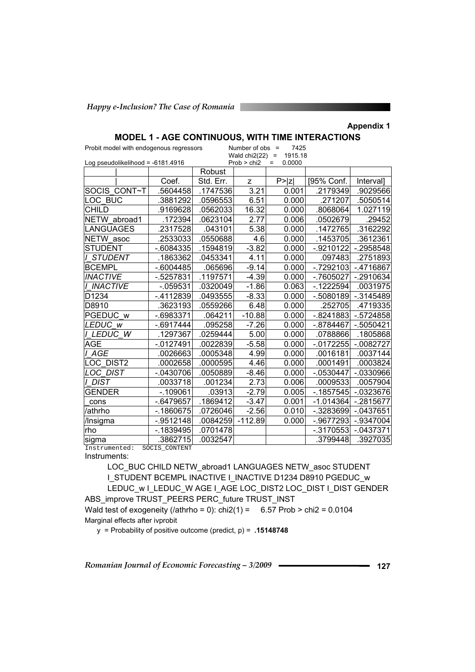**Appendix 1** 

| Number of $obs =$<br>7425<br>Probit model with endogenous regressors<br>Wald $chi2(22)$ = |              |           |             |                               |              |              |
|-------------------------------------------------------------------------------------------|--------------|-----------|-------------|-------------------------------|--------------|--------------|
| Log pseudolikelihood = -6181.4916                                                         |              |           | Prob > chi2 | 1915.18<br>0.0000<br>$\equiv$ |              |              |
|                                                                                           |              | Robust    |             |                               |              |              |
|                                                                                           | Coef.        | Std. Err. | z           | P >  Z                        | [95% Conf.   | Interval]    |
| SOCIS CONT~T                                                                              | .5604458     | .1747536  | 3.21        | 0.001                         | .2179349     | .9029566     |
| LOC BUC                                                                                   | .3881292     | .0596553  | 6.51        | 0.000                         | .271207      | .5050514     |
| <b>CHILD</b>                                                                              | .9169628     | .0562033  | 16.32       | 0.000                         | .8068064     | 1.027119     |
| NETW abroad1                                                                              | .172394      | .0623104  | 2.77        | 0.006                         | .0502679     | .29452       |
| <b>LANGUAGES</b>                                                                          | .2317528     | .043101   | 5.38        | 0.000                         | .1472765     | .3162292     |
| NETW asoc                                                                                 | .2533033     | .0550688  | 4.6         | 0.000                         | .1453705     | .3612361     |
| <b>STUDENT</b>                                                                            | $-6084335$   | .1594819  | $-3.82$     | 0.000                         | $-0.9210122$ | $-2958548$   |
| <i>I STUDENT</i>                                                                          | .1863362     | .0453341  | 4.11        | 0.000                         | .097483      | .2751893     |
| <b>BCEMPL</b>                                                                             | $-0.6004485$ | .065696   | $-9.14$     | 0.000                         | $-0.7292103$ | $-4716867$   |
| <b>INACTIVE</b>                                                                           | $-5257831$   | .1197571  | $-4.39$     | 0.000                         | $-7605027$   | $-2910634$   |
| <b>I INACTIVE</b>                                                                         | $-059531$    | .0320049  | $-1.86$     | 0.063                         | $-1222594$   | .0031975     |
| D1234                                                                                     | $-4112839$   | .0493555  | $-8.33$     | 0.000                         | $-0.5080189$ | $-0.3145489$ |
| D8910                                                                                     | .3623193     | .0559266  | 6.48        | 0.000                         | .252705      | .4719335     |
| PGEDUC w                                                                                  | -.6983371    | .064211   | $-10.88$    | 0.000                         | $-.8241883$  | $-5724858$   |
| LEDUC W                                                                                   | $-0.6917444$ | .095258   | $-7.26$     | 0.000                         | $-0.8784467$ | $-0.5050421$ |
| LEDUC W                                                                                   | .1297367     | .0259444  | 5.00        | 0.000                         | .0788866     | .1805868     |
| <b>AGE</b>                                                                                | -.0127491    | .0022839  | $-5.58$     | 0.000                         | $-.0172255$  | $-.0082727$  |
| I AGE                                                                                     | .0026663     | .0005348  | 4.99        | 0.000                         | .0016181     | .0037144     |
| LOC DIST2                                                                                 | .0002658     | .0000595  | 4.46        | 0.000                         | .0001491     | .0003824     |
| <b>LOC DIST</b>                                                                           | $-0430706$   | .0050889  | $-8.46$     | 0.000                         | $-0530447$   | $-0330966$   |
| I DIST                                                                                    | .0033718     | .001234   | 2.73        | 0.006                         | .0009533     | .0057904     |
| <b>GENDER</b>                                                                             | $-.109061$   | .03913    | $-2.79$     | 0.005                         | $-.1857545$  | $-0323676$   |
| cons                                                                                      | $-0.6479657$ | .1869412  | $-3.47$     | 0.001                         | $-1.014364$  | $-2815677$   |
| /athrho                                                                                   | $-1860675$   | .0726046  | $-2.56$     | 0.010                         | $-0.3283699$ | $-0437651$   |
| /Insigma                                                                                  | $-0.9512148$ | .0084259  | $-112.89$   | 0.000                         | -.9677293    | $-9347004$   |
| rho                                                                                       | $-.1839495$  | .0701478  |             |                               | $-.3170553$  | $-0437371$   |
| sigma                                                                                     | .3862715     | .0032547  |             |                               | .3799448     | .3927035     |
| Instrumented:<br>SOCIS_CONTENT                                                            |              |           |             |                               |              |              |

## **MODEL 1 - AGE CONTINUOUS, WITH TIME INTERACTIONS**

Instruments:

LOC\_BUC CHILD NETW\_abroad1 LANGUAGES NETW\_asoc STUDENT I\_STUDENT BCEMPL INACTIVE I\_INACTIVE D1234 D8910 PGEDUC\_w LEDUC\_w I\_LEDUC\_W AGE I\_AGE LOC\_DIST2 LOC\_DIST I\_DIST GENDER ABS\_improve TRUST\_PEERS PERC\_future TRUST\_INST Wald test of exogeneity (/athrho = 0):  $\text{chi2}(1) = 6.57 \text{ Prob} > \text{chi2} = 0.0104$ Marginal effects after ivprobit

y = Probability of positive outcome (predict, p) = **.15148748**